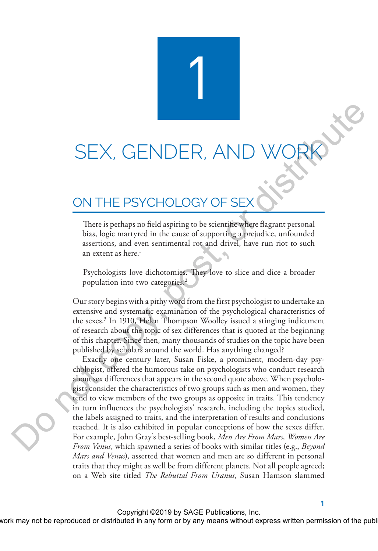# SEX, GENDER, AN

1

### ON THE PSYCHOLOGY OF SEX

There is perhaps no field aspiring to be scientific where flagrant personal bias, logic martyred in the cause of supporting a prejudice, unfounded assertions, and even sentimental rot and drivel, have run riot to such an extent as here. $<sup>1</sup>$ </sup>

Psychologists love dichotomies. They love to slice and dice a broader population into two categories.<sup>2</sup>

Our story begins with a pithy word from the first psychologist to undertake an extensive and systematic examination of the psychological characteristics of the sexes.<sup>3</sup> In 1910, Helen Thompson Woolley issued a stinging indictment of research about the topic of sex differences that is quoted at the beginning of this chapter. Since then, many thousands of studies on the topic have been published by scholars around the world. Has anything changed?

Exactly one century later, Susan Fiske, a prominent, modern-day psychologist, offered the humorous take on psychologists who conduct research about sex differences that appears in the second quote above. When psychologists consider the characteristics of two groups such as men and women, they tend to view members of the two groups as opposite in traits. This tendency in turn influences the psychologists' research, including the topics studied, the labels assigned to traits, and the interpretation of results and conclusions reached. It is also exhibited in popular conceptions of how the sexes differ. For example, John Gray's best-selling book, *Men Are From Mars, Women Are From Venus*, which spawned a series of books with similar titles (e.g., *Beyond Mars and Venus*), asserted that women and men are so different in personal traits that they might as well be from different planets. Not all people agreed; on a Web site titled *The Rebuttal From Uranus*, Susan Hamson slammed SEX, GENDER, AND WORK<br>
There is perhaps no field appring to be scientifies where flagment personal<br>
blus, begic margred in the case of any<br>perturbuted in a personal control and drivel, the set in a rise os the<br>
asset may

Copyright ©2019 by SAGE Publications, Inc.

**1**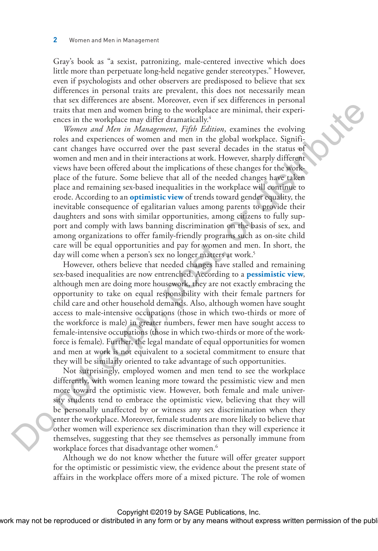Gray's book as "a sexist, patronizing, male-centered invective which does little more than perpetuate long-held negative gender stereotypes." However, even if psychologists and other observers are predisposed to believe that sex differences in personal traits are prevalent, this does not necessarily mean that sex differences are absent. Moreover, even if sex differences in personal traits that men and women bring to the workplace are minimal, their experiences in the workplace may differ dramatically.<sup>4</sup>

*Women and Men in Management*, *Fifth Edition*, examines the evolving roles and experiences of women and men in the global workplace. Significant changes have occurred over the past several decades in the status of women and men and in their interactions at work. However, sharply different views have been offered about the implications of these changes for the workplace of the future. Some believe that all of the needed changes have taken place and remaining sex-based inequalities in the workplace will continue to erode. According to an **optimistic view** of trends toward gender equality, the inevitable consequence of egalitarian values among parents to provide their daughters and sons with similar opportunities, among citizens to fully support and comply with laws banning discrimination on the basis of sex, and among organizations to offer family-friendly programs such as on-site child care will be equal opportunities and pay for women and men. In short, the day will come when a person's sex no longer matters at work.<sup>5</sup> This case and More means with perturbuted in any means with the repression of More and More and More and More any means were also the evolving the express warm in the publisher. More also the publisher and more and more a

However, others believe that needed changes have stalled and remaining sex-based inequalities are now entrenched. According to a **pessimistic view**, although men are doing more housework, they are not exactly embracing the opportunity to take on equal responsibility with their female partners for child care and other household demands. Also, although women have sought access to male-intensive occupations (those in which two-thirds or more of the workforce is male) in greater numbers, fewer men have sought access to female-intensive occupations (those in which two-thirds or more of the workforce is female). Further, the legal mandate of equal opportunities for women and men at work is not equivalent to a societal commitment to ensure that they will be similarly oriented to take advantage of such opportunities.

Not surprisingly, employed women and men tend to see the workplace differently, with women leaning more toward the pessimistic view and men more toward the optimistic view. However, both female and male university students tend to embrace the optimistic view, believing that they will be personally unaffected by or witness any sex discrimination when they enter the workplace. Moreover, female students are more likely to believe that other women will experience sex discrimination than they will experience it themselves, suggesting that they see themselves as personally immune from workplace forces that disadvantage other women.<sup>6</sup>

Although we do not know whether the future will offer greater support for the optimistic or pessimistic view, the evidence about the present state of affairs in the workplace offers more of a mixed picture. The role of women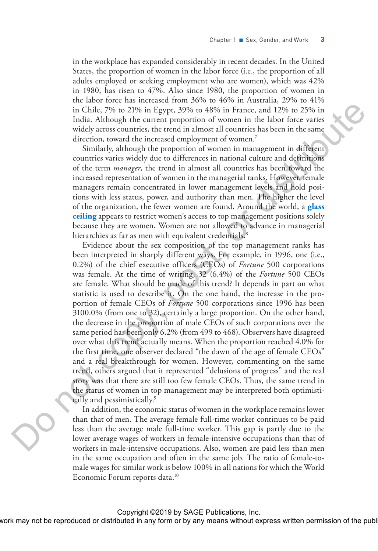in the workplace has expanded considerably in recent decades. In the United States, the proportion of women in the labor force (i.e., the proportion of all adults employed or seeking employment who are women), which was 42% in 1980, has risen to 47%. Also since 1980, the proportion of women in the labor force has increased from 36% to 46% in Australia, 29% to 41% in Chile, 7% to 21% in Egypt, 39% to 48% in France, and 12% to 25% in India. Although the current proportion of women in the labor force varies widely across countries, the trend in almost all countries has been in the same direction, toward the increased employment of women.<sup>7</sup>

Similarly, although the proportion of women in management in different countries varies widely due to differences in national culture and definitions of the term *manager*, the trend in almost all countries has been toward the increased representation of women in the managerial ranks. However, female managers remain concentrated in lower management levels and hold positions with less status, power, and authority than men. The higher the level of the organization, the fewer women are found. Around the world, a **glass ceiling** appears to restrict women's access to top management positions solely because they are women. Women are not allowed to advance in managerial hierarchies as far as men with equivalent credentials.<sup>8</sup>

Evidence about the sex composition of the top management ranks has been interpreted in sharply different ways. For example, in 1996, one (i.e., 0.2%) of the chief executive officers (CEOs) of *Fortune* 500 corporations was female. At the time of writing, 32 (6.4%) of the *Fortune* 500 CEOs are female. What should be made of this trend? It depends in part on what statistic is used to describe it. On the one hand, the increase in the proportion of female CEOs of *Fortune* 500 corporations since 1996 has been 3100.0% (from one to 32), certainly a large proportion. On the other hand, the decrease in the proportion of male CEOs of such corporations over the same period has been only 6.2% (from 499 to 468). Observers have disagreed over what this trend actually means. When the proportion reached 4.0% for the first time, one observer declared "the dawn of the age of female CEOs" and a real breakthrough for women. However, commenting on the same trend, others argued that it represented "delusions of progress" and the real story was that there are still too few female CEOs. Thus, the same trend in the status of women in top management may be interpreted both optimistically and pessimistically.9 In Chicago, 2008 (may 2008) and 2008 (may 2008) in France, and 1286 (may 2008) in the restributed in any form or by any means with the restributed in any form or both any form or both any form or both any form or both any

In addition, the economic status of women in the workplace remains lower than that of men. The average female full-time worker continues to be paid less than the average male full-time worker. This gap is partly due to the lower average wages of workers in female-intensive occupations than that of workers in male-intensive occupations. Also, women are paid less than men in the same occupation and often in the same job. The ratio of female-tomale wages for similar work is below 100% in all nations for which the World Economic Forum reports data.10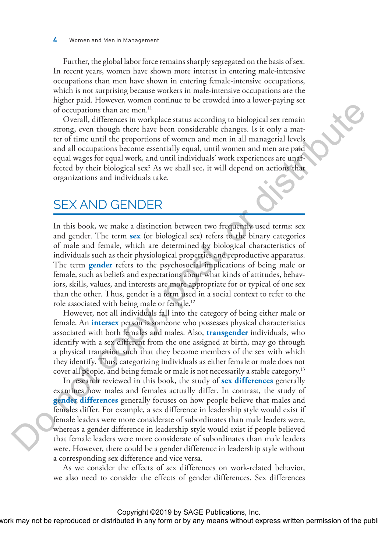#### **4** Women and Men in Management

Further, the global labor force remains sharply segregated on the basis of sex. In recent years, women have shown more interest in entering male-intensive occupations than men have shown in entering female-intensive occupations, which is not surprising because workers in male-intensive occupations are the higher paid. However, women continue to be crowded into a lower-paying set of occupations than are men.<sup>11</sup>

Overall, differences in workplace status according to biological sex remain strong, even though there have been considerable changes. Is it only a matter of time until the proportions of women and men in all managerial levels and all occupations become essentially equal, until women and men are paid equal wages for equal work, and until individuals' work experiences are unaffected by their biological sex? As we shall see, it will depend on actions that organizations and individuals take.

### SEX AND GENDER

In this book, we make a distinction between two frequently used terms: sex and gender. The term **sex** (or biological sex) refers to the binary categories of male and female, which are determined by biological characteristics of individuals such as their physiological properties and reproductive apparatus. The term **gender** refers to the psychosocial implications of being male or female, such as beliefs and expectations about what kinds of attitudes, behaviors, skills, values, and interests are more appropriate for or typical of one sex than the other. Thus, gender is a term used in a social context to refer to the role associated with being male or female.12 The computer may not be reproduced or distributed in any form or between or distributed in any form or distributed in any means with the state of the publisher distributed in any means were produced in any means were stat

However, not all individuals fall into the category of being either male or female. An **intersex** person is someone who possesses physical characteristics associated with both females and males. Also, **transgender** individuals, who identify with a sex different from the one assigned at birth, may go through a physical transition such that they become members of the sex with which they identify. Thus, categorizing individuals as either female or male does not cover all people, and being female or male is not necessarily a stable category.13

In research reviewed in this book, the study of **sex differences** generally examines how males and females actually differ. In contrast, the study of **gender differences** generally focuses on how people believe that males and females differ. For example, a sex difference in leadership style would exist if female leaders were more considerate of subordinates than male leaders were, whereas a gender difference in leadership style would exist if people believed that female leaders were more considerate of subordinates than male leaders were. However, there could be a gender difference in leadership style without a corresponding sex difference and vice versa.

As we consider the effects of sex differences on work-related behavior, we also need to consider the effects of gender differences. Sex differences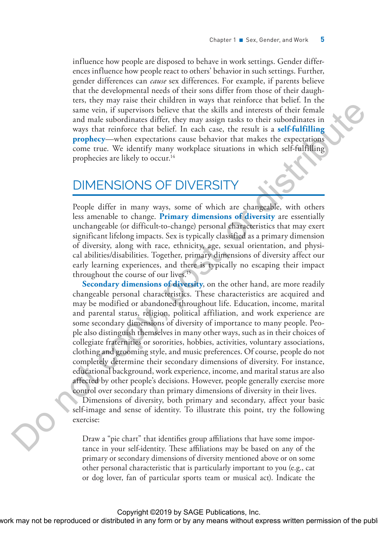influence how people are disposed to behave in work settings. Gender differences influence how people react to others' behavior in such settings. Further, gender differences can *cause* sex differences. For example, if parents believe that the developmental needs of their sons differ from those of their daughters, they may raise their children in ways that reinforce that belief. In the same vein, if supervisors believe that the skills and interests of their female and male subordinates differ, they may assign tasks to their subordinates in ways that reinforce that belief. In each case, the result is a **self-fulfilling prophecy**—when expectations cause behavior that makes the expectations come true. We identify many workplace situations in which self-fulfilling prophecies are likely to occur.<sup>14</sup>

### DIMENSIONS OF DIVERSIT

People differ in many ways, some of which are changeable, with others less amenable to change. **Primary dimensions of diversity** are essentially unchangeable (or difficult-to-change) personal characteristics that may exert significant lifelong impacts. Sex is typically classified as a primary dimension of diversity, along with race, ethnicity, age, sexual orientation, and physical abilities/disabilities. Together, primary dimensions of diversity affect our early learning experiences, and there is typically no escaping their impact throughout the course of our lives.<sup>15</sup>

**Secondary dimensions of diversity**, on the other hand, are more readily changeable personal characteristics. These characteristics are acquired and may be modified or abandoned throughout life. Education, income, marital and parental status, religion, political affiliation, and work experience are some secondary dimensions of diversity of importance to many people. People also distinguish themselves in many other ways, such as in their choices of collegiate fraternities or sororities, hobbies, activities, voluntary associations, clothing and grooming style, and music preferences. Of course, people do not completely determine their secondary dimensions of diversity. For instance, educational background, work experience, income, and marital status are also affected by other people's decisions. However, people generally exercise more control over secondary than primary dimensions of diversity in their lives. ano, work may not be repressed or distributed in the stable and interests of their finals way not be reproduced in the reproduced in any property—when expectations are belief. In each case, the expectation or by any means

Dimensions of diversity, both primary and secondary, affect your basic self-image and sense of identity. To illustrate this point, try the following exercise:

Draw a "pie chart" that identifies group affiliations that have some importance in your self-identity. These affiliations may be based on any of the primary or secondary dimensions of diversity mentioned above or on some other personal characteristic that is particularly important to you (e.g., cat or dog lover, fan of particular sports team or musical act). Indicate the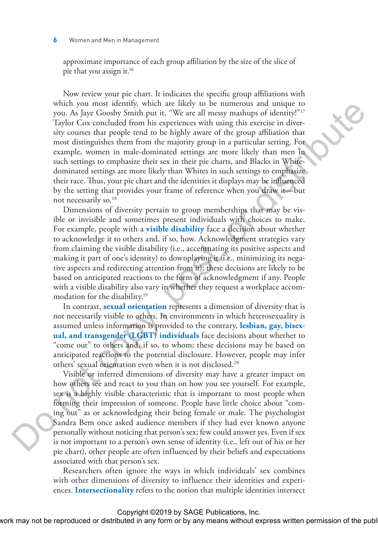#### **6** Women and Men in Management

approximate importance of each group affiliation by the size of the slice of pie that you assign it.16

Now review your pie chart. It indicates the specific group affiliations with which you most identify, which are likely to be numerous and unique to you. As Jaye Goosby Smith put it, "We are all messy mashups of identity!"17 Taylor Cox concluded from his experiences with using this exercise in diversity courses that people tend to be highly aware of the group affiliation that most distinguishes them from the majority group in a particular setting. For example, women in male-dominated settings are more likely than men in such settings to emphasize their sex in their pie charts, and Blacks in Whitedominated settings are more likely than Whites in such settings to emphasize their race. Thus, your pie chart and the identities it displays may be influenced by the setting that provides your frame of reference when you draw it—but not necessarily so.18 Which year not distributed from the spectra may have the represents and unique for the publisher or distributed in this permission of the publisher and the publisher of the publisher of the publisher of the publisher of t

Dimensions of diversity pertain to group memberships that may be visible or invisible and sometimes present individuals with choices to make. For example, people with a **visible disability** face a decision about whether to acknowledge it to others and, if so, how. Acknowledgment strategies vary from claiming the visible disability (i.e., accentuating its positive aspects and making it part of one's identity) to downplaying it (i.e., minimizing its negative aspects and redirecting attention from it); these decisions are likely to be based on anticipated reactions to the form of acknowledgment if any. People with a visible disability also vary in whether they request a workplace accommodation for the disability.19

In contrast, **sexual orientation** represents a dimension of diversity that is not necessarily visible to others. In environments in which heterosexuality is assumed unless information is provided to the contrary, **lesbian, gay, bisexual, and transgender (LGBT) individuals** face decisions about whether to "come out" to others and, if so, to whom; these decisions may be based on anticipated reactions to the potential disclosure. However, people may infer others' sexual orientation even when it is not disclosed.20

Visible or inferred dimensions of diversity may have a greater impact on how others see and react to you than on how you see yourself. For example, sex is a highly visible characteristic that is important to most people when forming their impression of someone. People have little choice about "coming out" as or acknowledging their being female or male. The psychologist Sandra Bem once asked audience members if they had ever known anyone personally without noticing that person's sex; few could answer yes. Even if sex is not important to a person's own sense of identity (i.e., left out of his or her pie chart), other people are often influenced by their beliefs and expectations associated with that person's sex.

Researchers often ignore the ways in which individuals' sex combines with other dimensions of diversity to influence their identities and experiences. **Intersectionality** refers to the notion that multiple identities intersect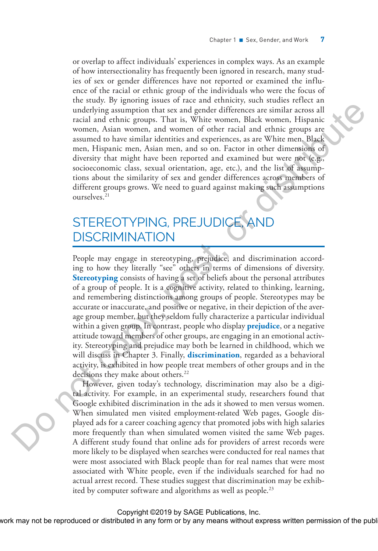or overlap to affect individuals' experiences in complex ways. As an example of how intersectionality has frequently been ignored in research, many studies of sex or gender differences have not reported or examined the influence of the racial or ethnic group of the individuals who were the focus of the study. By ignoring issues of race and ethnicity, such studies reflect an underlying assumption that sex and gender differences are similar across all racial and ethnic groups. That is, White women, Black women, Hispanic women, Asian women, and women of other racial and ethnic groups are assumed to have similar identities and experiences, as are White men, Black men, Hispanic men, Asian men, and so on. Factor in other dimensions of diversity that might have been reported and examined but were not (e.g., socioeconomic class, sexual orientation, age, etc.), and the list of assumptions about the similarity of sex and gender differences across members of different groups grows. We need to guard against making such assumptions ourselves.21

## STEREOTYPING, PREJUDIÇ **DISCRIMINATION**

People may engage in stereotyping, prejudice, and discrimination according to how they literally "see" others in terms of dimensions of diversity. **Stereotyping** consists of having a set of beliefs about the personal attributes of a group of people. It is a cognitive activity, related to thinking, learning, and remembering distinctions among groups of people. Stereotypes may be accurate or inaccurate, and positive or negative, in their depiction of the average group member, but they seldom fully characterize a particular individual within a given group. In contrast, people who display **prejudice**, or a negative attitude toward members of other groups, are engaging in an emotional activity. Stereotyping and prejudice may both be learned in childhood, which we will discuss in Chapter 3. Finally, **discrimination**, regarded as a behavioral activity, is exhibited in how people treat members of other groups and in the decisions they make about others.<sup>22</sup> underby resonant may not be repressed of the repression and the resonant may be represented in a state or distributed in any form or by any means with a state of the result of the publisher. Highering the same in the publ

However, given today's technology, discrimination may also be a digital activity. For example, in an experimental study, researchers found that Google exhibited discrimination in the ads it showed to men versus women. When simulated men visited employment-related Web pages, Google displayed ads for a career coaching agency that promoted jobs with high salaries more frequently than when simulated women visited the same Web pages. A different study found that online ads for providers of arrest records were more likely to be displayed when searches were conducted for real names that were most associated with Black people than for real names that were most associated with White people, even if the individuals searched for had no actual arrest record. These studies suggest that discrimination may be exhibited by computer software and algorithms as well as people.<sup>23</sup>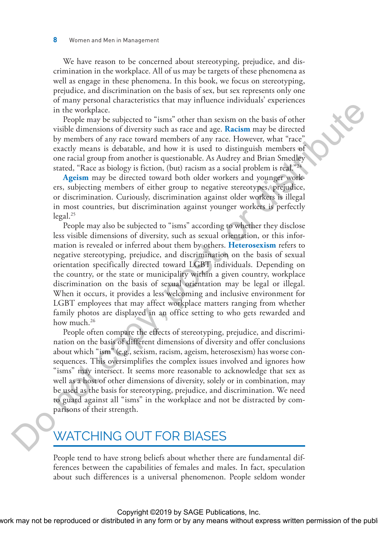We have reason to be concerned about stereotyping, prejudice, and discrimination in the workplace. All of us may be targets of these phenomena as well as engage in these phenomena. In this book, we focus on stereotyping, prejudice, and discrimination on the basis of sex, but sex represents only one of many personal characteristics that may influence individuals' experiences in the workplace.

People may be subjected to "isms" other than sexism on the basis of other visible dimensions of diversity such as race and age. **Racism** may be directed by members of any race toward members of any race. However, what "race" exactly means is debatable, and how it is used to distinguish members of one racial group from another is questionable. As Audrey and Brian Smedley stated, "Race as biology is fiction, (but) racism as a social problem is real."<sup>24</sup>

**Ageism** may be directed toward both older workers and younger workers, subjecting members of either group to negative stereotypes, prejudice, or discrimination. Curiously, discrimination against older workers is illegal in most countries, but discrimination against younger workers is perfectly legal.25

People may also be subjected to "isms" according to whether they disclose less visible dimensions of diversity, such as sexual orientation, or this information is revealed or inferred about them by others. **Heterosexism** refers to negative stereotyping, prejudice, and discrimination on the basis of sexual orientation specifically directed toward LGBT individuals. Depending on the country, or the state or municipality within a given country, workplace discrimination on the basis of sexual orientation may be legal or illegal. When it occurs, it provides a less welcoming and inclusive environment for LGBT employees that may affect workplace matters ranging from whether family photos are displayed in an office setting to who gets rewarded and how much.<sup>26</sup> In the best may not the rest and the rest and the rest and the rest or distributed in any form or be distributed in any form or by any means we are also as the publisher. The mass is defined in a more in the rest or any me

People often compare the effects of stereotyping, prejudice, and discrimination on the basis of different dimensions of diversity and offer conclusions about which "ism" (e.g., sexism, racism, ageism, heterosexism) has worse consequences. This oversimplifies the complex issues involved and ignores how "isms" may intersect. It seems more reasonable to acknowledge that sex as well as a host of other dimensions of diversity, solely or in combination, may be used as the basis for stereotyping, prejudice, and discrimination. We need to guard against all "isms" in the workplace and not be distracted by comparisons of their strength.

### WATCHING OUT FOR BIASES

People tend to have strong beliefs about whether there are fundamental differences between the capabilities of females and males. In fact, speculation about such differences is a universal phenomenon. People seldom wonder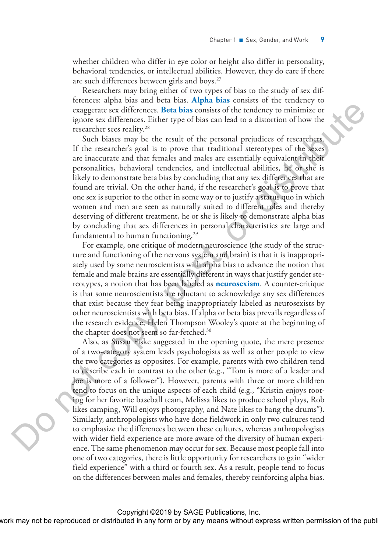whether children who differ in eye color or height also differ in personality, behavioral tendencies, or intellectual abilities. However, they do care if there are such differences between girls and boys.27

Researchers may bring either of two types of bias to the study of sex differences: alpha bias and beta bias. **Alpha bias** consists of the tendency to exaggerate sex differences. **Beta bias** consists of the tendency to minimize or ignore sex differences. Either type of bias can lead to a distortion of how the researcher sees reality.28

Such biases may be the result of the personal prejudices of researchers. If the researcher's goal is to prove that traditional stereotypes of the sexes are inaccurate and that females and males are essentially equivalent in their personalities, behavioral tendencies, and intellectual abilities, he or she is likely to demonstrate beta bias by concluding that any sex differences that are found are trivial. On the other hand, if the researcher's goal is to prove that one sex is superior to the other in some way or to justify a status quo in which women and men are seen as naturally suited to different roles and thereby deserving of different treatment, he or she is likely to demonstrate alpha bias by concluding that sex differences in personal characteristics are large and fundamental to human functioning.<sup>29</sup>

For example, one critique of modern neuroscience (the study of the structure and functioning of the nervous system and brain) is that it is inappropriately used by some neuroscientists with alpha bias to advance the notion that female and male brains are essentially different in ways that justify gender stereotypes, a notion that has been labeled as **neurosexism**. A counter-critique is that some neuroscientists are reluctant to acknowledge any sex differences that exist because they fear being inappropriately labeled as neurosexists by other neuroscientists with beta bias. If alpha or beta bias prevails regardless of the research evidence, Helen Thompson Wooley's quote at the beginning of the chapter does not seem so far-fetched.30

Also, as Susan Fiske suggested in the opening quote, the mere presence of a two-category system leads psychologists as well as other people to view the two categories as opposites. For example, parents with two children tend to describe each in contrast to the other (e.g., "Tom is more of a leader and Joe is more of a follower"). However, parents with three or more children tend to focus on the unique aspects of each child (e.g., "Kristin enjoys rooting for her favorite baseball team, Melissa likes to produce school plays, Rob likes camping, Will enjoys photography, and Nate likes to bang the drums"). Similarly, anthropologists who have done fieldwork in only two cultures tend to emphasize the differences between these cultures, whereas anthropologists with wider field experience are more aware of the diversity of human experience. The same phenomenon may occur for sex. Because most people fall into one of two categories, there is little opportunity for researchers to gain "wider field experience" with a third or fourth sex. As a result, people tend to focus on the differences between males and females, thereby reinforcing alpha bias. exaggeers see are likely <sup>28</sup> to the consider the tendency or minimize or the reproduced or distributed in any form or by any means with the result of the permission of the result of the permission of the result of the pe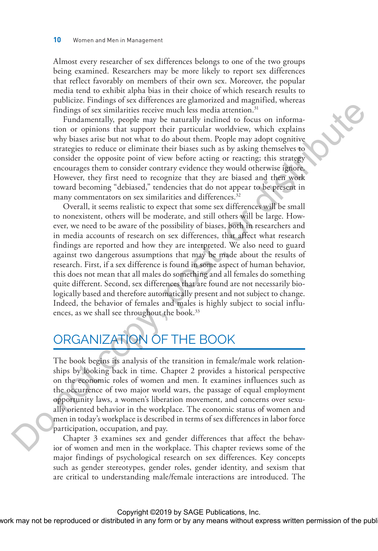Almost every researcher of sex differences belongs to one of the two groups being examined. Researchers may be more likely to report sex differences that reflect favorably on members of their own sex. Moreover, the popular media tend to exhibit alpha bias in their choice of which research results to publicize. Findings of sex differences are glamorized and magnified, whereas findings of sex similarities receive much less media attention.<sup>31</sup>

Fundamentally, people may be naturally inclined to focus on information or opinions that support their particular worldview, which explains why biases arise but not what to do about them. People may adopt cognitive strategies to reduce or eliminate their biases such as by asking themselves to consider the opposite point of view before acting or reacting; this strategy encourages them to consider contrary evidence they would otherwise ignore. However, they first need to recognize that they are biased and then work toward becoming "debiased," tendencies that do not appear to be present in many commentators on sex similarities and differences.<sup>32</sup>

Overall, it seems realistic to expect that some sex differences will be small to nonexistent, others will be moderate, and still others will be large. However, we need to be aware of the possibility of biases, both in researchers and in media accounts of research on sex differences, that affect what research findings are reported and how they are interpreted. We also need to guard against two dangerous assumptions that may be made about the results of research. First, if a sex difference is found in some aspect of human behavior, this does not mean that all males do something and all females do something quite different. Second, sex differences that are found are not necessarily biologically based and therefore automatically present and not subject to change. Indeed, the behavior of females and males is highly subject to social influences, as we shall see throughout the book.<sup>33</sup> Fiduce functions was not be represented or distributed valid or distributed in any form or or priori which is any form or beric publisher which explains the reproduced or distributed in a publisher. Which explains were ve

### ORGANIZATION OF THE BOOK

The book begins its analysis of the transition in female/male work relationships by looking back in time. Chapter 2 provides a historical perspective on the economic roles of women and men. It examines influences such as the occurrence of two major world wars, the passage of equal employment opportunity laws, a women's liberation movement, and concerns over sexually oriented behavior in the workplace. The economic status of women and men in today's workplace is described in terms of sex differences in labor force participation, occupation, and pay.

Chapter 3 examines sex and gender differences that affect the behavior of women and men in the workplace. This chapter reviews some of the major findings of psychological research on sex differences. Key concepts such as gender stereotypes, gender roles, gender identity, and sexism that are critical to understanding male/female interactions are introduced. The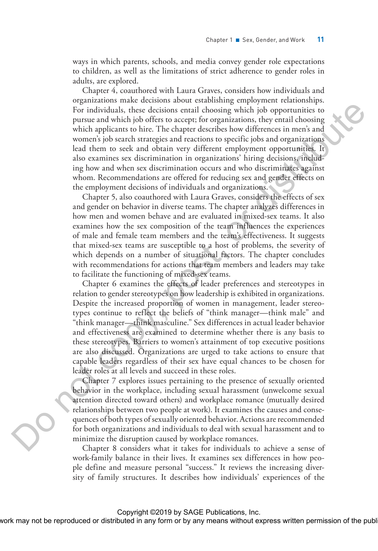ways in which parents, schools, and media convey gender role expectations to children, as well as the limitations of strict adherence to gender roles in adults, are explored.

Chapter 4, coauthored with Laura Graves, considers how individuals and organizations make decisions about establishing employment relationships. For individuals, these decisions entail choosing which job opportunities to pursue and which job offers to accept; for organizations, they entail choosing which applicants to hire. The chapter describes how differences in men's and women's job search strategies and reactions to specific jobs and organizations lead them to seek and obtain very different employment opportunities. It also examines sex discrimination in organizations' hiring decisions, including how and when sex discrimination occurs and who discriminates against whom. Recommendations are offered for reducing sex and gender effects on the employment decisions of individuals and organizations.

Chapter 5, also coauthored with Laura Graves, considers the effects of sex and gender on behavior in diverse teams. The chapter analyzes differences in how men and women behave and are evaluated in mixed-sex teams. It also examines how the sex composition of the team influences the experiences of male and female team members and the team's effectiveness. It suggests that mixed-sex teams are susceptible to a host of problems, the severity of which depends on a number of situational factors. The chapter concludes with recommendations for actions that team members and leaders may take to facilitate the functioning of mixed-sex teams.

Chapter 6 examines the effects of leader preferences and stereotypes in relation to gender stereotypes on how leadership is exhibited in organizations. Despite the increased proportion of women in management, leader stereotypes continue to reflect the beliefs of "think manager—think male" and "think manager—think masculine." Sex differences in actual leader behavior and effectiveness are examined to determine whether there is any basis to these stereotypes. Barriers to women's attainment of top executive positions are also discussed. Organizations are urged to take actions to ensure that capable leaders regardless of their sex have equal chances to be chosen for leader roles at all levels and succeed in these roles. To individual, these decisions excell dooning which plooper<br>maries to mean this photon or a publisher of the representation of the<br>system or the representation of the system of the copy wave in the representation<br>wave in

Chapter 7 explores issues pertaining to the presence of sexually oriented behavior in the workplace, including sexual harassment (unwelcome sexual attention directed toward others) and workplace romance (mutually desired relationships between two people at work). It examines the causes and consequences of both types of sexually oriented behavior. Actions are recommended for both organizations and individuals to deal with sexual harassment and to minimize the disruption caused by workplace romances.

Chapter 8 considers what it takes for individuals to achieve a sense of work-family balance in their lives. It examines sex differences in how people define and measure personal "success." It reviews the increasing diversity of family structures. It describes how individuals' experiences of the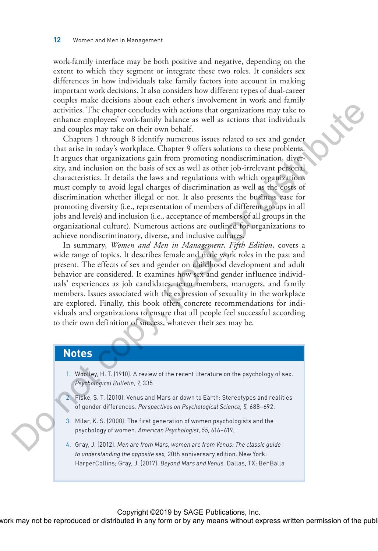work-family interface may be both positive and negative, depending on the extent to which they segment or integrate these two roles. It considers sex differences in how individuals take family factors into account in making important work decisions. It also considers how different types of dual-career couples make decisions about each other's involvement in work and family activities. The chapter concludes with actions that organizations may take to enhance employees' work-family balance as well as actions that individuals and couples may take on their own behalf.

Chapters 1 through 8 identify numerous issues related to sex and gender that arise in today's workplace. Chapter 9 offers solutions to these problems. It argues that organizations gain from promoting nondiscrimination, diversity, and inclusion on the basis of sex as well as other job-irrelevant personal characteristics. It details the laws and regulations with which organizations must comply to avoid legal charges of discrimination as well as the costs of discrimination whether illegal or not. It also presents the business case for promoting diversity (i.e., representation of members of different groups in all jobs and levels) and inclusion (i.e., acceptance of members of all groups in the organizational culture). Numerous actions are outlined for organizations to achieve nondiscriminatory, diverse, and inclusive cultures. are<br>view or by the controller such a such as exclusion any take to exact a<br>such any form or by any form or better or the representation of the publisher. Chapets 1 through 8 identify numerous issues related to text and ex

In summary, *Women and Men in Management*, *Fifth Edition*, covers a wide range of topics. It describes female and male work roles in the past and present. The effects of sex and gender on childhood development and adult behavior are considered. It examines how sex and gender influence individuals' experiences as job candidates, team members, managers, and family members. Issues associated with the expression of sexuality in the workplace are explored. Finally, this book offers concrete recommendations for individuals and organizations to ensure that all people feel successful according to their own definition of success, whatever their sex may be.

### **Notes**

- 1. Woolley, H. T. (1910). A review of the recent literature on the psychology of sex. *Psychological Bulletin, 7,* 335.
- 2. Fiske, S. T. (2010). Venus and Mars or down to Earth: Stereotypes and realities of gender differences. *Perspectives on Psychological Science, 5,* 688–692.
- 3. Milar, K. S. (2000). The first generation of women psychologists and the psychology of women. *American Psychologist, 55,* 616–619.
- 4. Gray, J. (2012). *Men are from Mars, women are from Venus: The classic guide to understanding the opposite sex,* 20th anniversary edition. New York: HarperCollins; Gray, J. (2017). *Beyond Mars and Venus.* Dallas, TX: BenBalla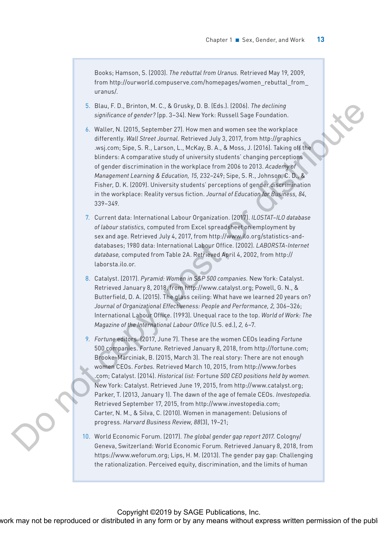Books; Hamson, S. (2003). *The rebuttal from Uranus.* Retrieved May 19, 2009, from http://ourworld.compuserve.com/homepages/women\_rebuttal\_from\_ uranus/.

- 5. Blau, F. D., Brinton, M. C., & Grusky, D. B. (Eds.). (2006). *The declining significance of gender?* (pp. 3–34). New York: Russell Sage Foundation.
- 6. Waller, N. (2015, September 27). How men and women see the workplace differently. *Wall Street Journal.* Retrieved July 3, 2017, from http://graphics .wsj.com; Sipe, S. R., Larson, L., McKay, B. A., & Moss, J. (2016). Taking off the blinders: A comparative study of university students' changing perceptions of gender discrimination in the workplace from 2006 to 2013. *Academy of Management Learning & Education, 15,* 232–249; Sipe, S. R., Johnson, C. D., & Fisher, D. K. (2009). University students' perceptions of gender discrimination in the workplace: Reality versus fiction. *Journal of Education for Business, 84,* 339–349.
- 7. Current data: International Labour Organization. (2017). *ILOSTAT–ILO database of labour statistics,* computed from Excel spreadsheet on employment by sex and age. Retrieved July 4, 2017, from http://www.ilo.org/statistics-anddatabases; 1980 data: International Labour Office. (2002). *LABORSTA-Internet database,* computed from Table 2A. Retrieved April 4, 2002, from http:// laborsta.ilo.or.
- 8. Catalyst. (2017). *Pyramid: Women in S&P 500 companies.* New York: Catalyst. Retrieved January 8, 2018, from http://www.catalyst.org; Powell, G. N., & Butterfield, D. A. (2015). The glass ceiling: What have we learned 20 years on? *Journal of Organizational Effectiveness: People and Performance, 2,* 306–326; International Labour Office. (1993). Unequal race to the top. *World of Work: The Magazine of the International Labour Office* (U.S. ed.), *2,* 6–7.
- 9. *Fortune* editors. (2017, June 7). These are the women CEOs leading *Fortune* 500 companies. *Fortune.* Retrieved January 8, 2018, from http://fortune.com; Brooke-Marciniak, B. (2015, March 3). The real story: There are not enough women CEOs. *Forbes.* Retrieved March 10, 2015, from http://www.forbes .com; Catalyst. (2014). *Historical list:* Fortune *500 CEO positions held by women.* New York: Catalyst. Retrieved June 19, 2015, from http://www.catalyst.org; Parker, T. (2013, January 1). The dawn of the age of female CEOs. *Investopedia.* Retrieved September 17, 2015, from http://www.investopedia.com; Carter, N. M., & Silva, C. (2010). Women in management: Delusions of progress. *Harvard Business Review, 88*(3), 19–21; S. But, F. C. But, T. C. But, T. C. But, T. But, T. But, I. D. But, T. D. But, T. D. But is a state of the publisher in any form or but the publisher in any form or but the publisher. A comparison of the publisher is a co
	- 10. World Economic Forum. (2017). *The global gender gap report 2017.* Cologny/ Geneva, Switzerland: World Economic Forum. Retrieved January 8, 2018, from https://www.weforum.org; Lips, H. M. (2013). The gender pay gap: Challenging the rationalization. Perceived equity, discrimination, and the limits of human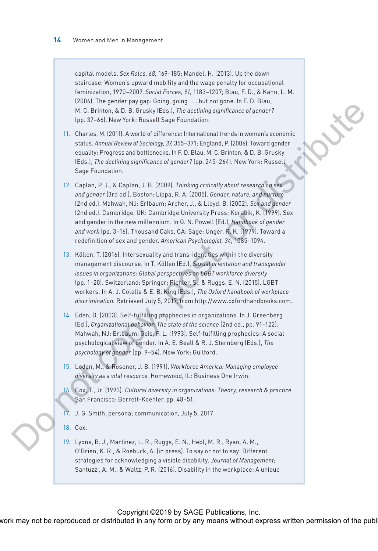capital models. *Sex Roles, 68,* 169–185; Mandel, H. (2013). Up the down staircase: Women's upward mobility and the wage penalty for occupational feminization, 1970–2007. *Social Forces, 91,* 1183–1207; Blau, F. D., & Kahn, L. M. (2006). The gender pay gap: Going, going . . . but not gone. In F. D. Blau, M. C. Brinton, & D. B. Grusky (Eds.), *The declining significance of gender?* (pp. 37–66). New York: Russell Sage Foundation.

- 11. Charles, M. (2011). A world of difference: International trends in women's economic status. *Annual Review of Sociology, 37,* 355–371; England, P. (2006). Toward gender equality: Progress and bottlenecks. In F. D. Blau, M. C. Brinton, & D. B. Grusky (Eds.), *The declining significance of gender?* (pp. 245–264). New York: Russell Sage Foundation.
- 12. Caplan, P. J., & Caplan, J. B. (2009). *Thinking critically about research on sex and gender* (3rd ed.). Boston: Lippa, R. A. (2005). *Gender, nature, and nurture* (2nd ed.). Mahwah, NJ: Erlbaum; Archer, J., & Lloyd, B. (2002). *Sex and gender* (2nd ed.). Cambridge, UK: Cambridge University Press; Korabik, K. (1999). Sex and gender in the new millennium. In G. N. Powell (Ed.), *Handbook of gender and work* (pp. 3–16). Thousand Oaks, CA: Sage; Unger, R. K. (1979). Toward a redefinition of sex and gender. *American Psychologist, 34,* 1085–1094. This work may not be reproduced or distributed in any form or by any means with  $\alpha$  the results with  $\alpha$  form or by any means without express with  $\alpha$  be repressed to the publisher of the publisher. The publisher of th
	- 13. Köllen, T. (2016). Intersexuality and trans-identities within the diversity management discourse. In T. Köllen (Ed.), *Sexual orientation and transgender issues in organizations: Global perspectives on LGBT workforce diversity* (pp. 1–20). Switzerland: Springer; Pichler, S., & Ruggs, E. N. (2015). LGBT workers. In A. J. Colella & E. B. King (Eds.), *The Oxford handbook of workplace discrimination.* Retrieved July 5, 2017, from http://www.oxfordhandbooks.com.
	- 14. Eden, D. (2003). Self-fulfilling prophecies in organizations. In J. Greenberg (Ed.), *Organizational behavior: The state of the science* (2nd ed., pp. 91–122). Mahwah, NJ: Erlbaum; Geis, F. L. (1993). Self-fulfilling prophecies: A social psychological view of gender. In A. E. Beall & R. J. Sternberg (Eds.), *The psychology of gender* (pp. 9–54). New York: Guilford.
	- 15. Loden, M., & Rosener, J. B. (1991). *Workforce America: Managing employee diversity as a vital resource.* Homewood, IL: Business One Irwin.
	- 16. Cox, T., Jr. (1993). *Cultural diversity in organizations: Theory, research & practice.* San Francisco: Berrett-Koehler, pp. 48–51.
	- 17. J. G. Smith, personal communication, July 5, 2017
	- 18. Cox.
	- 19. Lyons, B. J., Martinez, L. R., Ruggs, E. N., Hebl, M. R., Ryan, A. M., O'Brien, K. R., & Roebuck, A. (in press). To say or not to say: Different strategies for acknowledging a visible disability. *Journal of Management;* Santuzzi, A. M., & Waltz, P. R. (2016). Disability in the workplace: A unique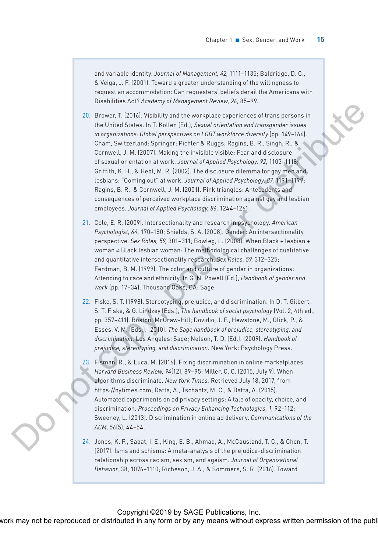and variable identity. *Journal of Management, 42,* 1111–1135; Baldridge, D. C., & Veiga, J. F. (2001). Toward a greater understanding of the willingness to request an accommodation: Can requesters' beliefs derail the Americans with Disabilities Act? *Academy of Management Review, 26,* 85–99.

- 20. Brower, T. (2016). Visibility and the workplace experiences of trans persons in the United States. In T. Köllen (Ed.), *Sexual orientation and transgender issues in organizations: Global perspectives on LGBT workforce diversity* (pp. 149–166). Cham, Switzerland: Springer; Pichler & Ruggs; Ragins, B. R., Singh, R., & Cornwell, J. M. (2007). Making the invisible visible: Fear and disclosure of sexual orientation at work. *Journal of Applied Psychology, 92,* 1103–1118; Griffith, K. H., & Hebl, M. R. (2002). The disclosure dilemma for gay men and lesbians: "Coming out" at work. *Journal of Applied Psychology, 87,* 1191–1199; Ragins, B. R., & Cornwell, J. M. (2001). Pink triangles: Antecedents and consequences of perceived workplace discrimination against gay and lesbian employees. *Journal of Applied Psychology, 86,* 1244–1261. This work may not be reproduced or distributed in any form or by any means with the reproduced or distributed in any form or by any means with  $\alpha$  any form or by any means with  $\alpha$  any  $\alpha$  any  $\alpha$  be represented in a
	- 21. Cole, E. R. (2009). Intersectionality and research in psychology. *American Psychologist, 64,* 170–180; Shields, S. A. (2008). Gender: An intersectionality perspective. *Sex Roles, 59,* 301–311; Bowleg, L. (2008). When Black + lesbian + woman ≠ Black lesbian woman: The methodological challenges of qualitative and quantitative intersectionality research. *Sex Roles, 59,* 312–325; Ferdman, B. M. (1999). The color and culture of gender in organizations: Attending to race and ethnicity. In G. N. Powell (Ed.), *Handbook of gender and work* (pp. 17–34). Thousand Oaks, CA: Sage.
	- 22. Fiske, S. T. (1998). Stereotyping, prejudice, and discrimination. In D. T. Gilbert, S. T. Fiske, & G. Lindzey (Eds.), *The handbook of social psychology* (Vol. 2, 4th ed., pp. 357–411). Boston: McGraw-Hill; Dovidio, J. F., Hewstone, M., Glick, P., & Esses, V. M. (Eds.). (2010). *The Sage handbook of prejudice, stereotyping, and discrimination.* Los Angeles: Sage; Nelson, T. D. (Ed.). (2009). *Handbook of prejudice, stereotyping, and discrimination.* New York: Psychology Press.
	- 23. Fisman, R., & Luca, M. (2016). Fixing discrimination in online marketplaces. *Harvard Business Review, 94*(12), 89–95; Miller, C. C. (2015, July 9). When algorithms discriminate. *New York Times.* Retrieved July 18, 2017, from https://nytimes.com; Datta, A., Tschantz, M. C., & Datta, A. (2015). Automated experiments on ad privacy settings: A tale of opacity, choice, and discrimination. *Proceedings on Privacy Enhancing Technologies, 1,* 92–112; Sweeney, L. (2013). Discrimination in online ad delivery. *Communications of the ACM, 56*(5), 44–54.
	- 24. Jones, K. P., Sabat, I. E., King, E. B., Ahmad, A., McCausland, T. C., & Chen, T. (2017). Isms and schisms: A meta-analysis of the prejudice-discrimination relationship across racism, sexism, and ageism. *Journal of Organizational Behavior,* 38, 1076–1110; Richeson, J. A., & Sommers, S. R. (2016). Toward